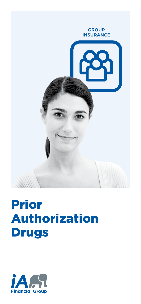

## Prior Authorization Drugs